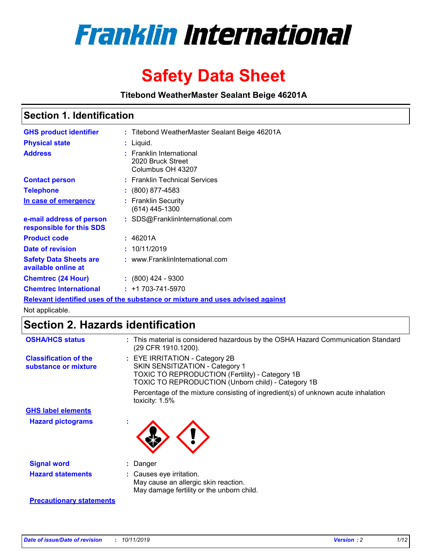

# **Safety Data Sheet**

**Titebond WeatherMaster Sealant Beige 46201A**

### **Section 1. Identification**

| <b>GHS product identifier</b>                        | : Titebond WeatherMaster Sealant Beige 46201A                                 |
|------------------------------------------------------|-------------------------------------------------------------------------------|
| <b>Physical state</b>                                | : Liquid.                                                                     |
| <b>Address</b>                                       | : Franklin International<br>2020 Bruck Street<br>Columbus OH 43207            |
| <b>Contact person</b>                                | : Franklin Technical Services                                                 |
| <b>Telephone</b>                                     | $\colon$ (800) 877-4583                                                       |
| In case of emergency                                 | : Franklin Security<br>(614) 445-1300                                         |
| e-mail address of person<br>responsible for this SDS | : SDS@FranklinInternational.com                                               |
| <b>Product code</b>                                  | : 46201A                                                                      |
| Date of revision                                     | : 10/11/2019                                                                  |
| <b>Safety Data Sheets are</b><br>available online at | : www.FranklinInternational.com                                               |
| <b>Chemtrec (24 Hour)</b>                            | $\div$ (800) 424 - 9300                                                       |
| <b>Chemtrec International</b>                        | $: +1703 - 741 - 5970$                                                        |
|                                                      | Relevant identified uses of the substance or mixture and uses advised against |

Not applicable.

## **Section 2. Hazards identification**

| <b>OSHA/HCS status</b>                               | : This material is considered hazardous by the OSHA Hazard Communication Standard<br>(29 CFR 1910.1200).                                                                          |
|------------------------------------------------------|-----------------------------------------------------------------------------------------------------------------------------------------------------------------------------------|
| <b>Classification of the</b><br>substance or mixture | : EYE IRRITATION - Category 2B<br>SKIN SENSITIZATION - Category 1<br><b>TOXIC TO REPRODUCTION (Fertility) - Category 1B</b><br>TOXIC TO REPRODUCTION (Unborn child) - Category 1B |
|                                                      | Percentage of the mixture consisting of ingredient(s) of unknown acute inhalation<br>toxicity: $1.5\%$                                                                            |
| <b>GHS label elements</b>                            |                                                                                                                                                                                   |
| <b>Hazard pictograms</b>                             |                                                                                                                                                                                   |
| <b>Signal word</b>                                   | : Danger                                                                                                                                                                          |
| <b>Hazard statements</b>                             | : Causes eye irritation.<br>May cause an allergic skin reaction.<br>May damage fertility or the unborn child.                                                                     |
| <b>Precautionary statements</b>                      |                                                                                                                                                                                   |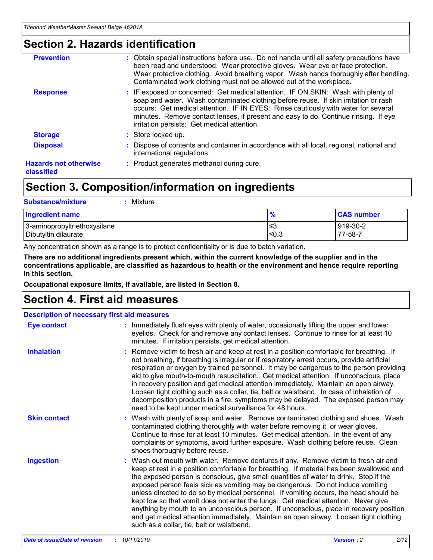### **Section 2. Hazards identification**

| <b>Prevention</b>                          | : Obtain special instructions before use. Do not handle until all safety precautions have<br>been read and understood. Wear protective gloves. Wear eye or face protection.<br>Wear protective clothing. Avoid breathing vapor. Wash hands thoroughly after handling.<br>Contaminated work clothing must not be allowed out of the workplace.                                                        |
|--------------------------------------------|------------------------------------------------------------------------------------------------------------------------------------------------------------------------------------------------------------------------------------------------------------------------------------------------------------------------------------------------------------------------------------------------------|
| <b>Response</b>                            | : IF exposed or concerned: Get medical attention. IF ON SKIN: Wash with plenty of<br>soap and water. Wash contaminated clothing before reuse. If skin irritation or rash<br>occurs: Get medical attention. IF IN EYES: Rinse cautiously with water for several<br>minutes. Remove contact lenses, if present and easy to do. Continue rinsing. If eye<br>irritation persists: Get medical attention. |
| <b>Storage</b>                             | : Store locked up.                                                                                                                                                                                                                                                                                                                                                                                   |
| <b>Disposal</b>                            | : Dispose of contents and container in accordance with all local, regional, national and<br>international regulations.                                                                                                                                                                                                                                                                               |
| <b>Hazards not otherwise</b><br>classified | : Product generates methanol during cure.                                                                                                                                                                                                                                                                                                                                                            |
|                                            |                                                                                                                                                                                                                                                                                                                                                                                                      |

### **Section 3. Composition/information on ingredients**

| <b>Substance/mixture</b><br>Mixture                  |                   |                     |
|------------------------------------------------------|-------------------|---------------------|
| Ingredient name                                      | $\frac{9}{6}$     | <b>CAS number</b>   |
| 3-aminopropyltriethoxysilane<br>Dibutyltin dilaurate | l≤3<br>$\leq 0.3$ | 919-30-2<br>77-58-7 |

Any concentration shown as a range is to protect confidentiality or is due to batch variation.

**There are no additional ingredients present which, within the current knowledge of the supplier and in the concentrations applicable, are classified as hazardous to health or the environment and hence require reporting in this section.**

**Occupational exposure limits, if available, are listed in Section 8.**

### **Section 4. First aid measures**

| <b>Description of necessary first aid measures</b> |                                                                                                                                                                                                                                                                                                                                                                                                                                                                                                                                                                                                                                                                                                                                                                           |  |  |  |
|----------------------------------------------------|---------------------------------------------------------------------------------------------------------------------------------------------------------------------------------------------------------------------------------------------------------------------------------------------------------------------------------------------------------------------------------------------------------------------------------------------------------------------------------------------------------------------------------------------------------------------------------------------------------------------------------------------------------------------------------------------------------------------------------------------------------------------------|--|--|--|
| <b>Eye contact</b>                                 | : Immediately flush eyes with plenty of water, occasionally lifting the upper and lower<br>eyelids. Check for and remove any contact lenses. Continue to rinse for at least 10<br>minutes. If irritation persists, get medical attention.                                                                                                                                                                                                                                                                                                                                                                                                                                                                                                                                 |  |  |  |
| <b>Inhalation</b>                                  | : Remove victim to fresh air and keep at rest in a position comfortable for breathing. If<br>not breathing, if breathing is irregular or if respiratory arrest occurs, provide artificial<br>respiration or oxygen by trained personnel. It may be dangerous to the person providing<br>aid to give mouth-to-mouth resuscitation. Get medical attention. If unconscious, place<br>in recovery position and get medical attention immediately. Maintain an open airway.<br>Loosen tight clothing such as a collar, tie, belt or waistband. In case of inhalation of<br>decomposition products in a fire, symptoms may be delayed. The exposed person may<br>need to be kept under medical surveillance for 48 hours.                                                       |  |  |  |
| <b>Skin contact</b>                                | : Wash with plenty of soap and water. Remove contaminated clothing and shoes. Wash<br>contaminated clothing thoroughly with water before removing it, or wear gloves.<br>Continue to rinse for at least 10 minutes. Get medical attention. In the event of any<br>complaints or symptoms, avoid further exposure. Wash clothing before reuse. Clean<br>shoes thoroughly before reuse.                                                                                                                                                                                                                                                                                                                                                                                     |  |  |  |
| <b>Ingestion</b>                                   | : Wash out mouth with water. Remove dentures if any. Remove victim to fresh air and<br>keep at rest in a position comfortable for breathing. If material has been swallowed and<br>the exposed person is conscious, give small quantities of water to drink. Stop if the<br>exposed person feels sick as vomiting may be dangerous. Do not induce vomiting<br>unless directed to do so by medical personnel. If vomiting occurs, the head should be<br>kept low so that vomit does not enter the lungs. Get medical attention. Never give<br>anything by mouth to an unconscious person. If unconscious, place in recovery position<br>and get medical attention immediately. Maintain an open airway. Loosen tight clothing<br>such as a collar, tie, belt or waistband. |  |  |  |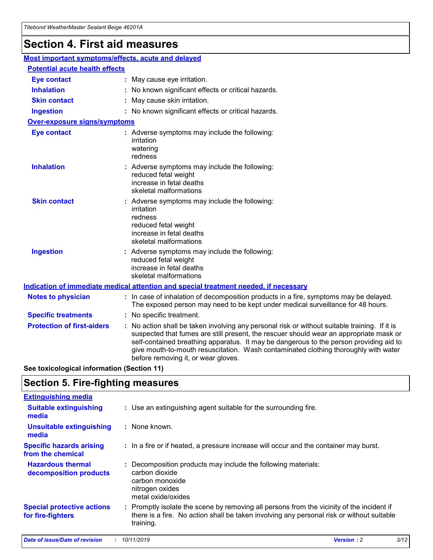## **Section 4. First aid measures**

| Most important symptoms/effects, acute and delayed |                                       |                                                                                                                                                                                                                                                                                                                                                                                                                 |  |  |  |
|----------------------------------------------------|---------------------------------------|-----------------------------------------------------------------------------------------------------------------------------------------------------------------------------------------------------------------------------------------------------------------------------------------------------------------------------------------------------------------------------------------------------------------|--|--|--|
|                                                    | <b>Potential acute health effects</b> |                                                                                                                                                                                                                                                                                                                                                                                                                 |  |  |  |
| <b>Eye contact</b>                                 |                                       | : May cause eye irritation.                                                                                                                                                                                                                                                                                                                                                                                     |  |  |  |
| <b>Inhalation</b>                                  |                                       | : No known significant effects or critical hazards.                                                                                                                                                                                                                                                                                                                                                             |  |  |  |
| <b>Skin contact</b>                                |                                       | : May cause skin irritation.                                                                                                                                                                                                                                                                                                                                                                                    |  |  |  |
| <b>Ingestion</b>                                   |                                       | : No known significant effects or critical hazards.                                                                                                                                                                                                                                                                                                                                                             |  |  |  |
| Over-exposure signs/symptoms                       |                                       |                                                                                                                                                                                                                                                                                                                                                                                                                 |  |  |  |
| <b>Eye contact</b>                                 |                                       | : Adverse symptoms may include the following:<br>irritation<br>watering<br>redness                                                                                                                                                                                                                                                                                                                              |  |  |  |
| <b>Inhalation</b>                                  |                                       | : Adverse symptoms may include the following:<br>reduced fetal weight<br>increase in fetal deaths<br>skeletal malformations                                                                                                                                                                                                                                                                                     |  |  |  |
| <b>Skin contact</b>                                |                                       | : Adverse symptoms may include the following:<br>irritation<br>redness<br>reduced fetal weight<br>increase in fetal deaths<br>skeletal malformations                                                                                                                                                                                                                                                            |  |  |  |
| <b>Ingestion</b>                                   |                                       | : Adverse symptoms may include the following:<br>reduced fetal weight<br>increase in fetal deaths<br>skeletal malformations                                                                                                                                                                                                                                                                                     |  |  |  |
|                                                    |                                       | <b>Indication of immediate medical attention and special treatment needed, if necessary</b>                                                                                                                                                                                                                                                                                                                     |  |  |  |
| <b>Notes to physician</b>                          |                                       | : In case of inhalation of decomposition products in a fire, symptoms may be delayed.<br>The exposed person may need to be kept under medical surveillance for 48 hours.                                                                                                                                                                                                                                        |  |  |  |
| <b>Specific treatments</b>                         |                                       | : No specific treatment.                                                                                                                                                                                                                                                                                                                                                                                        |  |  |  |
| <b>Protection of first-aiders</b>                  |                                       | : No action shall be taken involving any personal risk or without suitable training. If it is<br>suspected that fumes are still present, the rescuer should wear an appropriate mask or<br>self-contained breathing apparatus. It may be dangerous to the person providing aid to<br>give mouth-to-mouth resuscitation. Wash contaminated clothing thoroughly with water<br>before removing it, or wear gloves. |  |  |  |

**See toxicological information (Section 11)**

### **Section 5. Fire-fighting measures**

| <b>Extinguishing media</b>                             |                                                                                                                                                                                                     |
|--------------------------------------------------------|-----------------------------------------------------------------------------------------------------------------------------------------------------------------------------------------------------|
| <b>Suitable extinguishing</b><br>media                 | : Use an extinguishing agent suitable for the surrounding fire.                                                                                                                                     |
| <b>Unsuitable extinguishing</b><br>media               | : None known.                                                                                                                                                                                       |
| <b>Specific hazards arising</b><br>from the chemical   | : In a fire or if heated, a pressure increase will occur and the container may burst.                                                                                                               |
| <b>Hazardous thermal</b><br>decomposition products     | : Decomposition products may include the following materials:<br>carbon dioxide<br>carbon monoxide<br>nitrogen oxides<br>metal oxide/oxides                                                         |
| <b>Special protective actions</b><br>for fire-fighters | : Promptly isolate the scene by removing all persons from the vicinity of the incident if<br>there is a fire. No action shall be taken involving any personal risk or without suitable<br>training. |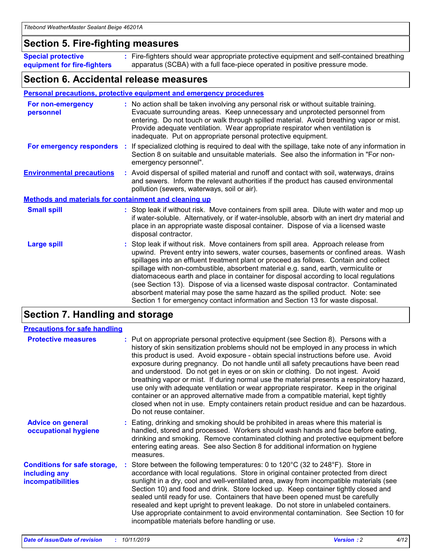### **Section 5. Fire-fighting measures**

**Special protective equipment for fire-fighters** Fire-fighters should wear appropriate protective equipment and self-contained breathing **:** apparatus (SCBA) with a full face-piece operated in positive pressure mode.

### **Section 6. Accidental release measures**

#### **Personal precautions, protective equipment and emergency procedures**

| For non-emergency<br>personnel                               | : No action shall be taken involving any personal risk or without suitable training.<br>Evacuate surrounding areas. Keep unnecessary and unprotected personnel from<br>entering. Do not touch or walk through spilled material. Avoid breathing vapor or mist.<br>Provide adequate ventilation. Wear appropriate respirator when ventilation is<br>inadequate. Put on appropriate personal protective equipment.                                                                                                                                                                                                                                                                                             |
|--------------------------------------------------------------|--------------------------------------------------------------------------------------------------------------------------------------------------------------------------------------------------------------------------------------------------------------------------------------------------------------------------------------------------------------------------------------------------------------------------------------------------------------------------------------------------------------------------------------------------------------------------------------------------------------------------------------------------------------------------------------------------------------|
|                                                              | For emergency responders : If specialized clothing is required to deal with the spillage, take note of any information in<br>Section 8 on suitable and unsuitable materials. See also the information in "For non-<br>emergency personnel".                                                                                                                                                                                                                                                                                                                                                                                                                                                                  |
| <b>Environmental precautions</b>                             | : Avoid dispersal of spilled material and runoff and contact with soil, waterways, drains<br>and sewers. Inform the relevant authorities if the product has caused environmental<br>pollution (sewers, waterways, soil or air).                                                                                                                                                                                                                                                                                                                                                                                                                                                                              |
| <b>Methods and materials for containment and cleaning up</b> |                                                                                                                                                                                                                                                                                                                                                                                                                                                                                                                                                                                                                                                                                                              |
| <b>Small spill</b>                                           | : Stop leak if without risk. Move containers from spill area. Dilute with water and mop up<br>if water-soluble. Alternatively, or if water-insoluble, absorb with an inert dry material and<br>place in an appropriate waste disposal container. Dispose of via a licensed waste<br>disposal contractor.                                                                                                                                                                                                                                                                                                                                                                                                     |
| <b>Large spill</b>                                           | : Stop leak if without risk. Move containers from spill area. Approach release from<br>upwind. Prevent entry into sewers, water courses, basements or confined areas. Wash<br>spillages into an effluent treatment plant or proceed as follows. Contain and collect<br>spillage with non-combustible, absorbent material e.g. sand, earth, vermiculite or<br>diatomaceous earth and place in container for disposal according to local regulations<br>(see Section 13). Dispose of via a licensed waste disposal contractor. Contaminated<br>absorbent material may pose the same hazard as the spilled product. Note: see<br>Section 1 for emergency contact information and Section 13 for waste disposal. |

### **Section 7. Handling and storage**

| <b>Precautions for safe handling</b>                                             |                                                                                                                                                                                                                                                                                                                                                                                                                                                                                                                                                                                                                                                                                                                                                                                                                                                  |
|----------------------------------------------------------------------------------|--------------------------------------------------------------------------------------------------------------------------------------------------------------------------------------------------------------------------------------------------------------------------------------------------------------------------------------------------------------------------------------------------------------------------------------------------------------------------------------------------------------------------------------------------------------------------------------------------------------------------------------------------------------------------------------------------------------------------------------------------------------------------------------------------------------------------------------------------|
| <b>Protective measures</b>                                                       | : Put on appropriate personal protective equipment (see Section 8). Persons with a<br>history of skin sensitization problems should not be employed in any process in which<br>this product is used. Avoid exposure - obtain special instructions before use. Avoid<br>exposure during pregnancy. Do not handle until all safety precautions have been read<br>and understood. Do not get in eyes or on skin or clothing. Do not ingest. Avoid<br>breathing vapor or mist. If during normal use the material presents a respiratory hazard,<br>use only with adequate ventilation or wear appropriate respirator. Keep in the original<br>container or an approved alternative made from a compatible material, kept tightly<br>closed when not in use. Empty containers retain product residue and can be hazardous.<br>Do not reuse container. |
| <b>Advice on general</b><br>occupational hygiene                                 | : Eating, drinking and smoking should be prohibited in areas where this material is<br>handled, stored and processed. Workers should wash hands and face before eating,<br>drinking and smoking. Remove contaminated clothing and protective equipment before<br>entering eating areas. See also Section 8 for additional information on hygiene<br>measures.                                                                                                                                                                                                                                                                                                                                                                                                                                                                                    |
| <b>Conditions for safe storage,</b><br>including any<br><b>incompatibilities</b> | : Store between the following temperatures: 0 to 120 $\degree$ C (32 to 248 $\degree$ F). Store in<br>accordance with local regulations. Store in original container protected from direct<br>sunlight in a dry, cool and well-ventilated area, away from incompatible materials (see<br>Section 10) and food and drink. Store locked up. Keep container tightly closed and<br>sealed until ready for use. Containers that have been opened must be carefully<br>resealed and kept upright to prevent leakage. Do not store in unlabeled containers.<br>Use appropriate containment to avoid environmental contamination. See Section 10 for<br>incompatible materials before handling or use.                                                                                                                                                   |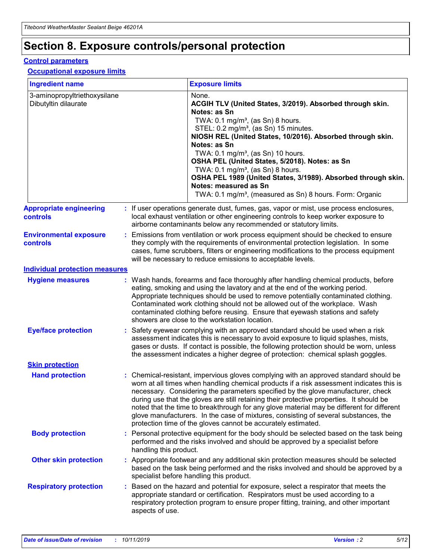## **Section 8. Exposure controls/personal protection**

#### **Control parameters**

#### **Occupational exposure limits**

| <b>Ingredient name</b>                               |    |                                          | <b>Exposure limits</b>                                                                                                                                                                                                                                                                                                                                                                                                                                                                                                                                                                                                 |
|------------------------------------------------------|----|------------------------------------------|------------------------------------------------------------------------------------------------------------------------------------------------------------------------------------------------------------------------------------------------------------------------------------------------------------------------------------------------------------------------------------------------------------------------------------------------------------------------------------------------------------------------------------------------------------------------------------------------------------------------|
| 3-aminopropyltriethoxysilane<br>Dibutyltin dilaurate |    |                                          | None.<br>ACGIH TLV (United States, 3/2019). Absorbed through skin.<br>Notes: as Sn<br>TWA: 0.1 mg/m <sup>3</sup> , (as Sn) 8 hours.<br>STEL: 0.2 mg/m <sup>3</sup> , (as Sn) 15 minutes.<br>NIOSH REL (United States, 10/2016). Absorbed through skin.<br>Notes: as Sn<br>TWA: 0.1 mg/m <sup>3</sup> , (as Sn) 10 hours.<br>OSHA PEL (United States, 5/2018). Notes: as Sn<br>TWA: $0.1 \text{ mg/m}^3$ , (as Sn) 8 hours.<br>OSHA PEL 1989 (United States, 3/1989). Absorbed through skin.<br>Notes: measured as Sn<br>TWA: 0.1 mg/m <sup>3</sup> , (measured as Sn) 8 hours. Form: Organic                           |
| <b>Appropriate engineering</b><br>controls           |    |                                          | : If user operations generate dust, fumes, gas, vapor or mist, use process enclosures,<br>local exhaust ventilation or other engineering controls to keep worker exposure to<br>airborne contaminants below any recommended or statutory limits.                                                                                                                                                                                                                                                                                                                                                                       |
| <b>Environmental exposure</b><br><b>controls</b>     |    |                                          | Emissions from ventilation or work process equipment should be checked to ensure<br>they comply with the requirements of environmental protection legislation. In some<br>cases, fume scrubbers, filters or engineering modifications to the process equipment<br>will be necessary to reduce emissions to acceptable levels.                                                                                                                                                                                                                                                                                          |
| <b>Individual protection measures</b>                |    |                                          |                                                                                                                                                                                                                                                                                                                                                                                                                                                                                                                                                                                                                        |
| <b>Hygiene measures</b>                              |    |                                          | : Wash hands, forearms and face thoroughly after handling chemical products, before<br>eating, smoking and using the lavatory and at the end of the working period.<br>Appropriate techniques should be used to remove potentially contaminated clothing.<br>Contaminated work clothing should not be allowed out of the workplace. Wash<br>contaminated clothing before reusing. Ensure that eyewash stations and safety<br>showers are close to the workstation location.                                                                                                                                            |
| <b>Eye/face protection</b>                           |    |                                          | : Safety eyewear complying with an approved standard should be used when a risk<br>assessment indicates this is necessary to avoid exposure to liquid splashes, mists,<br>gases or dusts. If contact is possible, the following protection should be worn, unless<br>the assessment indicates a higher degree of protection: chemical splash goggles.                                                                                                                                                                                                                                                                  |
| <b>Skin protection</b>                               |    |                                          |                                                                                                                                                                                                                                                                                                                                                                                                                                                                                                                                                                                                                        |
| <b>Hand protection</b>                               |    |                                          | : Chemical-resistant, impervious gloves complying with an approved standard should be<br>worn at all times when handling chemical products if a risk assessment indicates this is<br>necessary. Considering the parameters specified by the glove manufacturer, check<br>during use that the gloves are still retaining their protective properties. It should be<br>noted that the time to breakthrough for any glove material may be different for different<br>glove manufacturers. In the case of mixtures, consisting of several substances, the<br>protection time of the gloves cannot be accurately estimated. |
| <b>Body protection</b>                               |    | handling this product.                   | Personal protective equipment for the body should be selected based on the task being<br>performed and the risks involved and should be approved by a specialist before                                                                                                                                                                                                                                                                                                                                                                                                                                                |
| <b>Other skin protection</b>                         |    | specialist before handling this product. | : Appropriate footwear and any additional skin protection measures should be selected<br>based on the task being performed and the risks involved and should be approved by a                                                                                                                                                                                                                                                                                                                                                                                                                                          |
| <b>Respiratory protection</b>                        | ÷. | aspects of use.                          | Based on the hazard and potential for exposure, select a respirator that meets the<br>appropriate standard or certification. Respirators must be used according to a<br>respiratory protection program to ensure proper fitting, training, and other important                                                                                                                                                                                                                                                                                                                                                         |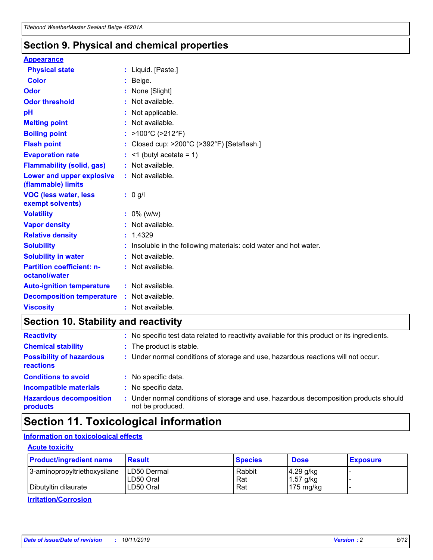### **Section 9. Physical and chemical properties**

#### **Appearance**

| <b>Physical state</b>                             | : Liquid. [Paste.]                                              |
|---------------------------------------------------|-----------------------------------------------------------------|
| Color                                             | Beige.                                                          |
| Odor                                              | None [Slight]                                                   |
| <b>Odor threshold</b>                             | : Not available.                                                |
| рH                                                | : Not applicable.                                               |
| <b>Melting point</b>                              | : Not available.                                                |
| <b>Boiling point</b>                              | : >100°C (>212°F)                                               |
| <b>Flash point</b>                                | : Closed cup: $>200^{\circ}$ C ( $>392^{\circ}$ F) [Setaflash.] |
| <b>Evaporation rate</b>                           | $:$ <1 (butyl acetate = 1)                                      |
| <b>Flammability (solid, gas)</b>                  | : Not available.                                                |
| Lower and upper explosive<br>(flammable) limits   | : Not available.                                                |
| <b>VOC (less water, less</b><br>exempt solvents)  | : 0 g/l                                                         |
| <b>Volatility</b>                                 | $: 0\%$ (w/w)                                                   |
| <b>Vapor density</b>                              | : Not available.                                                |
| <b>Relative density</b>                           | : 1.4329                                                        |
| <b>Solubility</b>                                 | Insoluble in the following materials: cold water and hot water. |
| <b>Solubility in water</b>                        | : Not available.                                                |
| <b>Partition coefficient: n-</b><br>octanol/water | $:$ Not available.                                              |
| <b>Auto-ignition temperature</b>                  | : Not available.                                                |
|                                                   |                                                                 |
| <b>Decomposition temperature</b>                  | : Not available.                                                |

### **Section 10. Stability and reactivity**

| <b>Reactivity</b>                            |    | : No specific test data related to reactivity available for this product or its ingredients.            |
|----------------------------------------------|----|---------------------------------------------------------------------------------------------------------|
| <b>Chemical stability</b>                    |    | : The product is stable.                                                                                |
| <b>Possibility of hazardous</b><br>reactions |    | : Under normal conditions of storage and use, hazardous reactions will not occur.                       |
| <b>Conditions to avoid</b>                   |    | : No specific data.                                                                                     |
| <b>Incompatible materials</b>                | ٠. | No specific data.                                                                                       |
| <b>Hazardous decomposition</b><br>products   | ÷. | Under normal conditions of storage and use, hazardous decomposition products should<br>not be produced. |

## **Section 11. Toxicological information**

### **Information on toxicological effects**

#### **Acute toxicity**

| <b>Product/ingredient name</b> | <b>Result</b>           | <b>Species</b> | <b>Dose</b>                | <b>Exposure</b> |
|--------------------------------|-------------------------|----------------|----------------------------|-----------------|
| 3-aminopropyltriethoxysilane   | <b>ILD50 Dermal</b>     | Rabbit         | 4.29 g/kg                  |                 |
| Dibutyltin dilaurate           | ILD50 Oral<br>LD50 Oral | Rat<br>Rat     | $1.57$ g/kg<br>175 $mg/kg$ |                 |
|                                |                         |                |                            |                 |

**Irritation/Corrosion**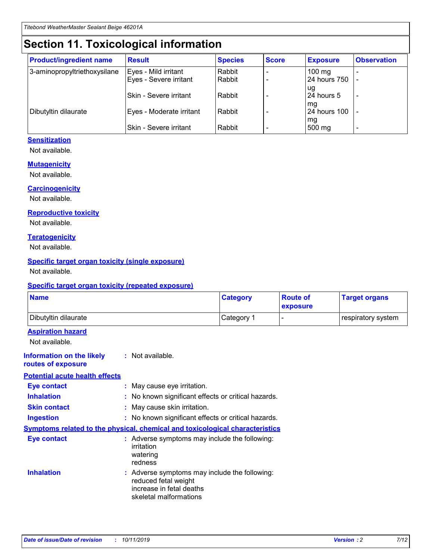## **Section 11. Toxicological information**

| <b>Product/ingredient name</b> | <b>Result</b>            | <b>Species</b> | <b>Score</b> | <b>Exposure</b>           | <b>Observation</b> |
|--------------------------------|--------------------------|----------------|--------------|---------------------------|--------------------|
| 3-aminopropyltriethoxysilane   | Eyes - Mild irritant     | Rabbit         |              | $100$ mg                  |                    |
|                                | Eyes - Severe irritant   | Rabbit         |              | 24 hours 750              |                    |
|                                |                          |                |              | ug                        |                    |
|                                | Skin - Severe irritant   | Rabbit         |              | 24 hours 5                | -                  |
| Dibutyltin dilaurate           | Eyes - Moderate irritant | Rabbit         |              | mg<br><b>24 hours 100</b> |                    |
|                                |                          |                |              | mg                        |                    |
|                                | Skin - Severe irritant   | Rabbit         |              | 500 mg                    | -                  |

### **Sensitization**

Not available.

#### **Mutagenicity**

Not available.

#### **Carcinogenicity**

Not available.

#### **Reproductive toxicity**

Not available.

#### **Teratogenicity**

Not available.

#### **Specific target organ toxicity (single exposure)**

Not available.

#### **Specific target organ toxicity (repeated exposure)**

| <b>Name</b>                                                                  |                                                                            | <b>Category</b>                                     | <b>Route of</b><br>exposure | <b>Target organs</b> |
|------------------------------------------------------------------------------|----------------------------------------------------------------------------|-----------------------------------------------------|-----------------------------|----------------------|
| Dibutyltin dilaurate                                                         |                                                                            | Category 1                                          | -                           | respiratory system   |
| <b>Aspiration hazard</b><br>Not available.                                   |                                                                            |                                                     |                             |                      |
| <b>Information on the likely</b><br>routes of exposure                       | : Not available.                                                           |                                                     |                             |                      |
| <b>Potential acute health effects</b>                                        |                                                                            |                                                     |                             |                      |
| <b>Eye contact</b>                                                           | : May cause eye irritation.                                                |                                                     |                             |                      |
| <b>Inhalation</b>                                                            |                                                                            | : No known significant effects or critical hazards. |                             |                      |
| <b>Skin contact</b>                                                          | : May cause skin irritation.                                               |                                                     |                             |                      |
| <b>Ingestion</b>                                                             |                                                                            | : No known significant effects or critical hazards. |                             |                      |
| Symptoms related to the physical, chemical and toxicological characteristics |                                                                            |                                                     |                             |                      |
| <b>Eye contact</b>                                                           | irritation<br>watering<br>redness                                          | : Adverse symptoms may include the following:       |                             |                      |
| <b>Inhalation</b>                                                            | reduced fetal weight<br>increase in fetal deaths<br>skeletal malformations | : Adverse symptoms may include the following:       |                             |                      |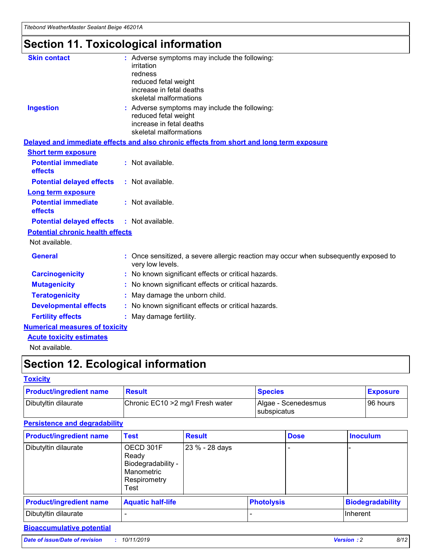## **Section 11. Toxicological information**

| <b>Skin contact</b>                     |                                                                                                          |
|-----------------------------------------|----------------------------------------------------------------------------------------------------------|
|                                         | : Adverse symptoms may include the following:<br>irritation                                              |
|                                         | redness                                                                                                  |
|                                         | reduced fetal weight                                                                                     |
|                                         | increase in fetal deaths                                                                                 |
|                                         | skeletal malformations                                                                                   |
| <b>Ingestion</b>                        | : Adverse symptoms may include the following:                                                            |
|                                         | reduced fetal weight                                                                                     |
|                                         | increase in fetal deaths                                                                                 |
|                                         | skeletal malformations                                                                                   |
|                                         | Delayed and immediate effects and also chronic effects from short and long term exposure                 |
| <b>Short term exposure</b>              |                                                                                                          |
| <b>Potential immediate</b>              | : Not available.                                                                                         |
| effects                                 |                                                                                                          |
| <b>Potential delayed effects</b>        | : Not available.                                                                                         |
| <b>Long term exposure</b>               |                                                                                                          |
| <b>Potential immediate</b>              | : Not available.                                                                                         |
| effects                                 |                                                                                                          |
| <b>Potential delayed effects</b>        | : Not available.                                                                                         |
| <b>Potential chronic health effects</b> |                                                                                                          |
| Not available.                          |                                                                                                          |
| <b>General</b>                          | : Once sensitized, a severe allergic reaction may occur when subsequently exposed to<br>very low levels. |
| <b>Carcinogenicity</b>                  | : No known significant effects or critical hazards.                                                      |
| <b>Mutagenicity</b>                     | No known significant effects or critical hazards.                                                        |
| <b>Teratogenicity</b>                   | May damage the unborn child.                                                                             |
| <b>Developmental effects</b>            | No known significant effects or critical hazards.                                                        |
| <b>Fertility effects</b>                | : May damage fertility.                                                                                  |
| <b>Numerical measures of toxicity</b>   |                                                                                                          |
| <b>Acute toxicity estimates</b>         |                                                                                                          |
|                                         |                                                                                                          |

Not available.

## **Section 12. Ecological information**

#### **Toxicity**

| <b>Product/ingredient name</b> | <b>Result</b>                     | <b>Species</b>                       | <b>Exposure</b> |
|--------------------------------|-----------------------------------|--------------------------------------|-----------------|
| Dibutyltin dilaurate           | Chronic EC10 > 2 mg/l Fresh water | Algae - Scenedesmus<br>I subspicatus | l 96 hours      |

### **Persistence and degradability**

| <b>Product/ingredient name</b> | <b>Test</b>                                                                    | <b>Result</b>  |                   | <b>Dose</b> | <b>Inoculum</b>         |
|--------------------------------|--------------------------------------------------------------------------------|----------------|-------------------|-------------|-------------------------|
| Dibutyltin dilaurate           | OECD 301F<br>Ready<br>Biodegradability -<br>Manometric<br>Respirometry<br>Test | 23 % - 28 days |                   |             |                         |
| <b>Product/ingredient name</b> | <b>Aquatic half-life</b>                                                       |                | <b>Photolysis</b> |             | <b>Biodegradability</b> |
| Dibutyltin dilaurate           |                                                                                |                |                   |             | Inherent                |

### **Bioaccumulative potential**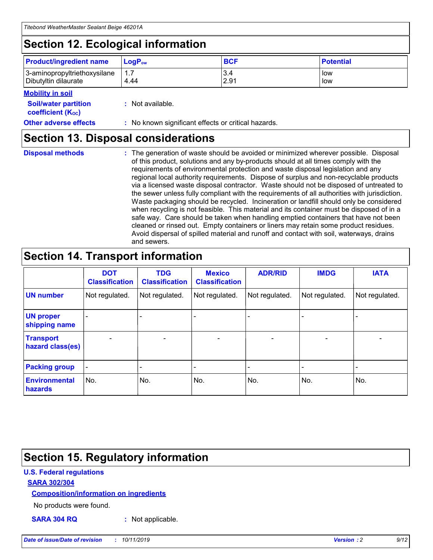## **Section 12. Ecological information**

| <b>Product/ingredient name</b> | $LoaPow$ | <b>BCF</b> | <b>Potential</b> |
|--------------------------------|----------|------------|------------------|
| 3-aminopropyltriethoxysilane   | 1.7      | 3.4        | low              |
| Dibutyltin dilaurate           | 4.44     | 2.91       | low              |

#### **Mobility in soil**

| <i></i>                                                       |                                                     |
|---------------------------------------------------------------|-----------------------------------------------------|
| <b>Soil/water partition</b><br>coefficient (K <sub>oc</sub> ) | : Not available.                                    |
| <b>Other adverse effects</b>                                  | : No known significant effects or critical hazards. |

### **Section 13. Disposal considerations**

**Disposal methods :**

The generation of waste should be avoided or minimized wherever possible. Disposal of this product, solutions and any by-products should at all times comply with the requirements of environmental protection and waste disposal legislation and any regional local authority requirements. Dispose of surplus and non-recyclable products via a licensed waste disposal contractor. Waste should not be disposed of untreated to the sewer unless fully compliant with the requirements of all authorities with jurisdiction. Waste packaging should be recycled. Incineration or landfill should only be considered when recycling is not feasible. This material and its container must be disposed of in a safe way. Care should be taken when handling emptied containers that have not been cleaned or rinsed out. Empty containers or liners may retain some product residues. Avoid dispersal of spilled material and runoff and contact with soil, waterways, drains and sewers.

## **Section 14. Transport information**

|                                      | <b>DOT</b><br><b>Classification</b> | <b>TDG</b><br><b>Classification</b> | <b>Mexico</b><br><b>Classification</b> | <b>ADR/RID</b>           | <b>IMDG</b>              | <b>IATA</b>              |
|--------------------------------------|-------------------------------------|-------------------------------------|----------------------------------------|--------------------------|--------------------------|--------------------------|
| <b>UN number</b>                     | Not regulated.                      | Not regulated.                      | Not regulated.                         | Not regulated.           | Not regulated.           | Not regulated.           |
| <b>UN proper</b><br>shipping name    | $\qquad \qquad \blacksquare$        |                                     |                                        |                          |                          |                          |
| <b>Transport</b><br>hazard class(es) | $\blacksquare$                      | $\blacksquare$                      | $\blacksquare$                         | $\overline{\phantom{a}}$ | $\blacksquare$           | $\blacksquare$           |
| <b>Packing group</b>                 | $\overline{\phantom{a}}$            | $\overline{\phantom{0}}$            | $\overline{\phantom{0}}$               | -                        | $\overline{\phantom{0}}$ | $\overline{\phantom{a}}$ |
| <b>Environmental</b><br>hazards      | No.                                 | No.                                 | No.                                    | No.                      | No.                      | No.                      |

## **Section 15. Regulatory information**

### **U.S. Federal regulations**

#### **SARA 302/304**

#### **Composition/information on ingredients**

No products were found.

**SARA 304 RQ :** Not applicable.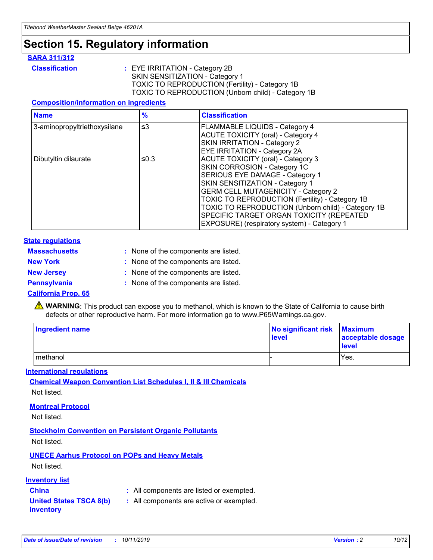## **Section 15. Regulatory information**

#### **SARA 311/312**

**Classification :** EYE IRRITATION - Category 2B SKIN SENSITIZATION - Category 1 TOXIC TO REPRODUCTION (Fertility) - Category 1B TOXIC TO REPRODUCTION (Unborn child) - Category 1B

#### **Composition/information on ingredients**

| <b>Name</b>                  | $\frac{9}{6}$ | <b>Classification</b>                                                                                            |
|------------------------------|---------------|------------------------------------------------------------------------------------------------------------------|
| 3-aminopropyltriethoxysilane | $\leq$ 3      | <b>FLAMMABLE LIQUIDS - Category 4</b><br><b>ACUTE TOXICITY (oral) - Category 4</b>                               |
|                              |               | SKIN IRRITATION - Category 2<br>EYE IRRITATION - Category 2A                                                     |
| Dibutyltin dilaurate         | ≤0.3          | ACUTE TOXICITY (oral) - Category 3<br>SKIN CORROSION - Category 1C                                               |
|                              |               | SERIOUS EYE DAMAGE - Category 1<br>SKIN SENSITIZATION - Category 1<br><b>GERM CELL MUTAGENICITY - Category 2</b> |
|                              |               | TOXIC TO REPRODUCTION (Fertility) - Category 1B<br>TOXIC TO REPRODUCTION (Unborn child) - Category 1B            |
|                              |               | SPECIFIC TARGET ORGAN TOXICITY (REPEATED<br>EXPOSURE) (respiratory system) - Category 1                          |

#### **State regulations**

| <b>Massachusetts</b> | : None of the components are listed. |
|----------------------|--------------------------------------|
| <b>New York</b>      | : None of the components are listed. |
| <b>New Jersey</b>    | : None of the components are listed. |
| <b>Pennsylvania</b>  | : None of the components are listed. |

#### **California Prop. 65**

**A** WARNING: This product can expose you to methanol, which is known to the State of California to cause birth defects or other reproductive harm. For more information go to www.P65Warnings.ca.gov.

| <b>Ingredient name</b> | No significant risk Maximum<br>level | acceptable dosage<br>level |
|------------------------|--------------------------------------|----------------------------|
| methanol               |                                      | Yes.                       |

#### **International regulations**

**Chemical Weapon Convention List Schedules I, II & III Chemicals** Not listed.

#### **Montreal Protocol**

Not listed.

#### **Stockholm Convention on Persistent Organic Pollutants**

Not listed.

### **UNECE Aarhus Protocol on POPs and Heavy Metals**

Not listed.

#### **Inventory list**

### **China :** All components are listed or exempted.

#### **United States TSCA 8(b) inventory :** All components are active or exempted.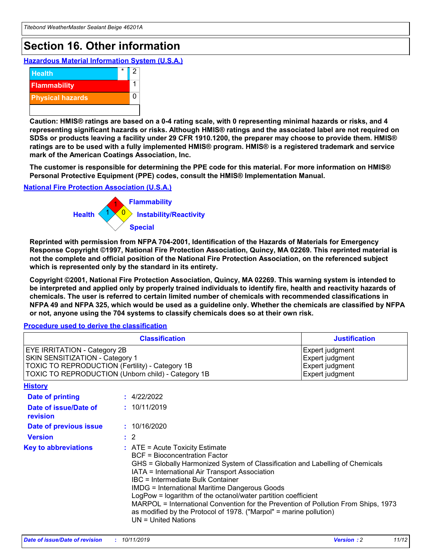## **Section 16. Other information**

**Hazardous Material Information System (U.S.A.)**



**Caution: HMIS® ratings are based on a 0-4 rating scale, with 0 representing minimal hazards or risks, and 4 representing significant hazards or risks. Although HMIS® ratings and the associated label are not required on SDSs or products leaving a facility under 29 CFR 1910.1200, the preparer may choose to provide them. HMIS® ratings are to be used with a fully implemented HMIS® program. HMIS® is a registered trademark and service mark of the American Coatings Association, Inc.**

**The customer is responsible for determining the PPE code for this material. For more information on HMIS® Personal Protective Equipment (PPE) codes, consult the HMIS® Implementation Manual.**

#### **National Fire Protection Association (U.S.A.)**



**Reprinted with permission from NFPA 704-2001, Identification of the Hazards of Materials for Emergency Response Copyright ©1997, National Fire Protection Association, Quincy, MA 02269. This reprinted material is not the complete and official position of the National Fire Protection Association, on the referenced subject which is represented only by the standard in its entirety.**

**Copyright ©2001, National Fire Protection Association, Quincy, MA 02269. This warning system is intended to be interpreted and applied only by properly trained individuals to identify fire, health and reactivity hazards of chemicals. The user is referred to certain limited number of chemicals with recommended classifications in NFPA 49 and NFPA 325, which would be used as a guideline only. Whether the chemicals are classified by NFPA or not, anyone using the 704 systems to classify chemicals does so at their own risk.**

**Procedure used to derive the classification**

| <b>Classification</b>                                                                                                                                                    |                                                                                                                                                                                                           | <b>Justification</b>                                                                                                                                                                                                                                                                                                                                               |  |
|--------------------------------------------------------------------------------------------------------------------------------------------------------------------------|-----------------------------------------------------------------------------------------------------------------------------------------------------------------------------------------------------------|--------------------------------------------------------------------------------------------------------------------------------------------------------------------------------------------------------------------------------------------------------------------------------------------------------------------------------------------------------------------|--|
| EYE IRRITATION - Category 2B<br>SKIN SENSITIZATION - Category 1<br>TOXIC TO REPRODUCTION (Fertility) - Category 1B<br>TOXIC TO REPRODUCTION (Unborn child) - Category 1B |                                                                                                                                                                                                           | Expert judgment<br>Expert judgment<br>Expert judgment<br>Expert judgment                                                                                                                                                                                                                                                                                           |  |
| <b>History</b>                                                                                                                                                           |                                                                                                                                                                                                           |                                                                                                                                                                                                                                                                                                                                                                    |  |
| Date of printing                                                                                                                                                         | : 4/22/2022                                                                                                                                                                                               |                                                                                                                                                                                                                                                                                                                                                                    |  |
| Date of issue/Date of<br>revision                                                                                                                                        | : 10/11/2019                                                                                                                                                                                              |                                                                                                                                                                                                                                                                                                                                                                    |  |
| Date of previous issue                                                                                                                                                   | : 10/16/2020                                                                                                                                                                                              |                                                                                                                                                                                                                                                                                                                                                                    |  |
| <b>Version</b>                                                                                                                                                           | $\therefore$ 2                                                                                                                                                                                            |                                                                                                                                                                                                                                                                                                                                                                    |  |
| <b>Key to abbreviations</b>                                                                                                                                              | $\therefore$ ATE = Acute Toxicity Estimate<br><b>BCF</b> = Bioconcentration Factor<br>IATA = International Air Transport Association<br><b>IBC</b> = Intermediate Bulk Container<br>$UN = United Nations$ | GHS = Globally Harmonized System of Classification and Labelling of Chemicals<br><b>IMDG = International Maritime Dangerous Goods</b><br>LogPow = logarithm of the octanol/water partition coefficient<br>MARPOL = International Convention for the Prevention of Pollution From Ships, 1973<br>as modified by the Protocol of 1978. ("Marpol" = marine pollution) |  |